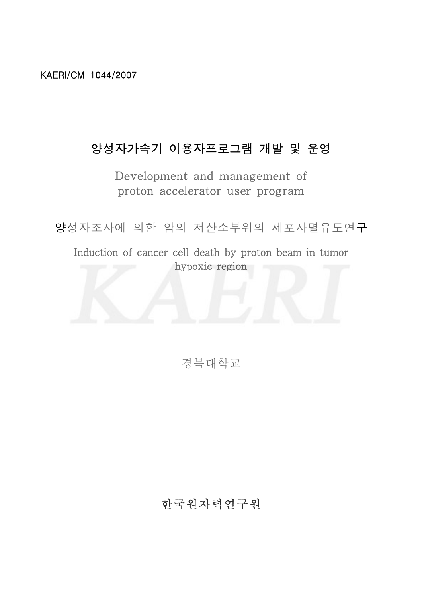KAERI/CM-1044/2007

# 양성자가속기 이용자프로그램 개발 및 운영

Development and management of proton accelerator user program

양성자조사에 의한 암의 저산소부위의 세포사멸유도연구

Induction of cancer cell death by proton beam in tumor hypoxic region



경북대학교

# 한국원자력연구원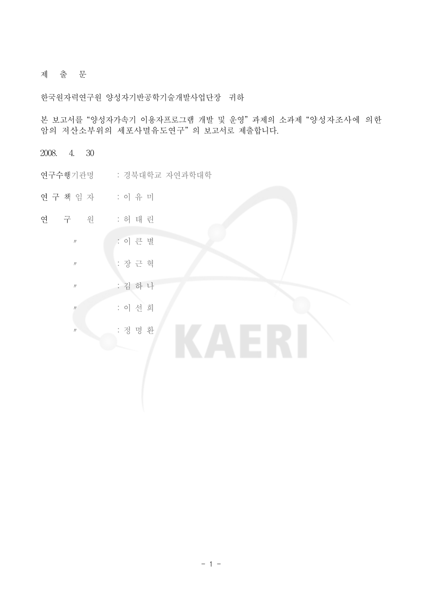#### 제 출 문

한국원자력연구원 양성자기반공학기술개발사업단장 귀하

본 보고서를 "양성자가속기 이용자프로그램 개발 및 운영" 과제의 소과제 "양성자조사에 의한 암의 저산소부위의 세포사멸유도연구" 의 보고서로 제출합니다.

2008. 4. 30

- 연구수행기관명 : 경북대학교 자연과학대학
- 연구 책 임 자 : 이 유 미
- 연 구 원 : 허 태 린
	- 〃 : 이 큰 별
	- 〃 : 장 근 혁
	- 〃 : 김 하 나
	- 〃 : 이 선 희
	- 〃 : 정 명 환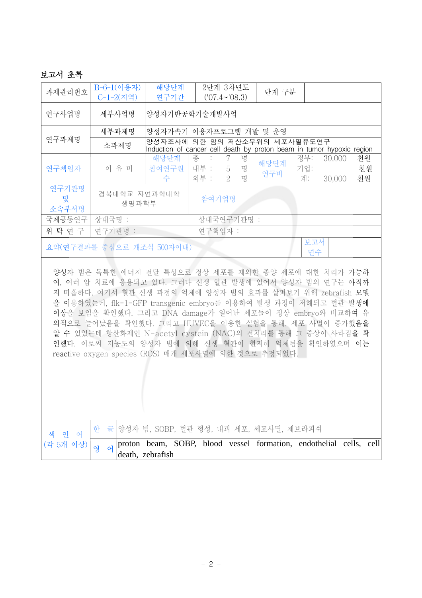### 보고서 초록

| 과제관리번호                                                                                                                                                                                                                                                                                                                                                                                                                                                                                                                                      | B-6-1(이용자)<br>$C-1-2(<$                | 해당단계<br>연구기간                                                                           |                        | 2단계 3차년도<br>$(107.4 \sim 08.3)$ |             | 단계 구분                                                                                                 |                  |                  |                |  |
|---------------------------------------------------------------------------------------------------------------------------------------------------------------------------------------------------------------------------------------------------------------------------------------------------------------------------------------------------------------------------------------------------------------------------------------------------------------------------------------------------------------------------------------------|----------------------------------------|----------------------------------------------------------------------------------------|------------------------|---------------------------------|-------------|-------------------------------------------------------------------------------------------------------|------------------|------------------|----------------|--|
| 연구사업명                                                                                                                                                                                                                                                                                                                                                                                                                                                                                                                                       | 세부사업명                                  | 양성자기반공학기술개발사업                                                                          |                        |                                 |             |                                                                                                       |                  |                  |                |  |
| 연구과제명                                                                                                                                                                                                                                                                                                                                                                                                                                                                                                                                       | 세부과제명                                  | 양성자가속기 이용자프로그램 개발 및 운영                                                                 |                        |                                 |             |                                                                                                       |                  |                  |                |  |
|                                                                                                                                                                                                                                                                                                                                                                                                                                                                                                                                             | 소과제명                                   |                                                                                        |                        |                                 |             | 양성자조사에 의한 암의 저산소부위의 세포사멸유도연구<br>Induction of cancer cell death by proton beam in tumor hypoxic region |                  |                  |                |  |
| 연구책임자                                                                                                                                                                                                                                                                                                                                                                                                                                                                                                                                       | 이 유 미                                  | 해당단계<br>참여연구원<br>수                                                                     | 총<br>÷<br>내부 :<br>외부 : | 7<br>5<br>$\overline{2}$        | 명<br>명<br>명 | 해당단계<br>연구비                                                                                           | 정부:<br>기업:<br>계: | 30,000<br>30,000 | 천원<br>천원<br>천원 |  |
| 연구기관명<br>및<br>소속부서명                                                                                                                                                                                                                                                                                                                                                                                                                                                                                                                         | 경북대학교 자연과학대학<br>생명과학부                  |                                                                                        | 참여기업명                  |                                 |             |                                                                                                       |                  |                  |                |  |
| 국제공동연구                                                                                                                                                                                                                                                                                                                                                                                                                                                                                                                                      | 상대국명 :                                 |                                                                                        |                        | 상대국연구기관명 :                      |             |                                                                                                       |                  |                  |                |  |
| 위 탁 연 구                                                                                                                                                                                                                                                                                                                                                                                                                                                                                                                                     | 연구기관명 :                                |                                                                                        | 연구책임자 :                |                                 |             |                                                                                                       |                  |                  |                |  |
|                                                                                                                                                                                                                                                                                                                                                                                                                                                                                                                                             | 보고서<br>요약(연구결과를 중심으로 개조식 500자이내)<br>면수 |                                                                                        |                        |                                 |             |                                                                                                       |                  |                  |                |  |
| 양성자 빔은 독특한 에너지 전달 특성으로 정상 세포를 제외한 종양 세포에 대한 처리가 가능하<br>여, 여러 암 치료에 응용되고 있다. 그러나 신생 혈관 발생에 있어서 양성자 빔의 연구는 아직까<br>지 미흡하다. 여기서 혈관 신생 과정의 억제에 양성자 빔의 효과를 살펴보기 위해 zebrafish 모델<br>을 이용하였는데, flk-1-GFP transgenic embryo를 이용하여 발생 과정이 저해되고 혈관 발생에<br>이상을 보임을 확인했다. 그리고 DNA damage가 일어난 세포들이 정상 embryo와 비교하여 유<br>의적으로 늘어났음을 확인했다. 그리고 HUVEC을 이용한 실험을 통해, 세포 사멸이 증가했음을<br>알 수 있었는데 항산화제인 N-acetyl cystein (NAC)의 전처리를 통해 그 증상이 사라짐을 확<br>인했다. 이로써 저농도의 양성자 빔에 의해 신생 혈관이 현저히 억제됨을 확인하였으며 이는<br>reactive oxygen species (ROS) 매개 세포사멸에 의한 것으로 추정되었다. |                                        |                                                                                        |                        |                                 |             |                                                                                                       |                  |                  |                |  |
| 인 어<br>색                                                                                                                                                                                                                                                                                                                                                                                                                                                                                                                                    | 한<br>글                                 | 양성자 빔, SOBP, 혈관 형성, 내피 세포, 세포사멸, 제브라피쉬                                                 |                        |                                 |             |                                                                                                       |                  |                  |                |  |
| (각 5개 이상)                                                                                                                                                                                                                                                                                                                                                                                                                                                                                                                                   | 영<br>$\Theta$                          | proton beam, SOBP, blood vessel formation, endothelial cells, cell<br>death, zebrafish |                        |                                 |             |                                                                                                       |                  |                  |                |  |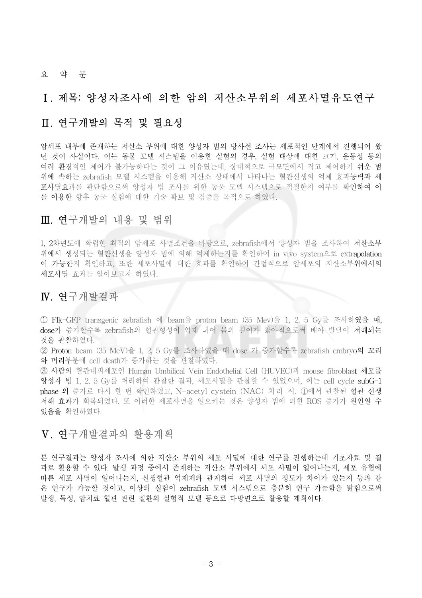#### 요 약 문

### Ⅰ. 제목: 양성자조사에 의한 암의 저산소부위의 세포사멸유도연구

### Ⅱ. 연구개발의 목적 및 필요성

암세포 내부에 존재하는 저산소 부위에 대한 양성자 빔의 방사선 조사는 세포적인 단계에서 진행되어 왔 던 것이 사실이다. 이는 동물 모델 시스템을 이용한 실험의 경우, 실험 대상에 대한 크기, 운동성 등의 여러 환경적인 제어가 불가능하다는 것이 그 이유였는데, 상대적으로 규모면에서 작고 제어하기 쉬운 범 위에 속하는 zebrafish 모델 시스템을 이용해 저산소 상태에서 나타나는 혈관신생의 억제 효과능력과 세 포사멸효과를 판단함으로써 양성자 빔 조사를 위한 동물 모델 시스템으로 적절한지 여부를 확인하여 이 를 이용한 향후 동물 실험에 대한 기술 확보 및 검증을 목적으로 하였다.

## Ⅲ. 연구개발의 내용 및 범위

1, 2차년도에 확립한 최적의 암세포 사멸조건을 바탕으로, zebrafish에서 양성자 빔을 조사하여 저산소부 위에서 생성되는 혈관신생을 양성자 빔에 의해 억제하는지를 확인하여 in vivo system으로 extrapolation 이 가능한지 확인하고, 또한 세포사멸에 대한 효과를 확인하여 간접적으로 암세포의 저산소부위에서의 세포사멸 효과를 알아보고자 하였다.

### Ⅳ. 연구개발결과

① Flk-GFP transgenic zebrafish 에 beam을 proton beam (35 Mev)을 1, 2, 5 Gy를 조사하였을 때, dose가 증가할수록 zebrafish의 혈관형성이 억제 되어 몸의 길이가 짧아짐으로써 배아 발달이 저해되는 것을 관찰하였다.

② Proton beam (35 MeV)을 1, 2, 5 Gy를 조사하였을 때 dose 가 증가할수록 zebrafish embryo의 꼬리 와 머리부분에 cell death가 증가하는 것을 관찰하였다.

③ 사람의 혈관내피세포인 Human Umbilical Vein Endothelial Cell (HUVEC)과 mouse fibroblast 세포를 양성자 빔 1, 2, 5 Gy를 처리하여 관찰한 결과, 세포사멸을 관찰할 수 있었으며, 이는 cell cycle subG-1 phase 의 증가로 다시 한 번 확인하였고, N-acetyl cystein (NAC) 처리 시, ①에서 관찰된 혈관 신생 저해 효과가 회복되었다. 또 이러한 세포사멸을 일으키는 것은 양성자 빔에 의한 ROS 증가가 원인일 수 있음을 확인하였다.

### Ⅴ. 연구개발결과의 활용계획

본 연구결과는 양성자 조사에 의한 저산소 부위의 세포 사멸에 대한 연구를 진행하는데 기초자료 및 결 과로 활용할 수 있다. 발생 과정 중에서 존재하는 저산소 부위에서 세포 사멸이 일어나는지, 세포 유형에 따른 세포 사멸이 일어나는지, 신생혈관 억제제와 관계하여 세포 사멸의 정도가 차이가 있는지 등과 같 은 연구가 가능할 것이고, 이상의 실험이 zebrafish 모델 시스템으로 충분히 연구 가능함을 밝힘으로써 발생, 독성, 암치료 혈관 관련 질환의 실험적 모델 등으로 다방면으로 활용할 계획이다.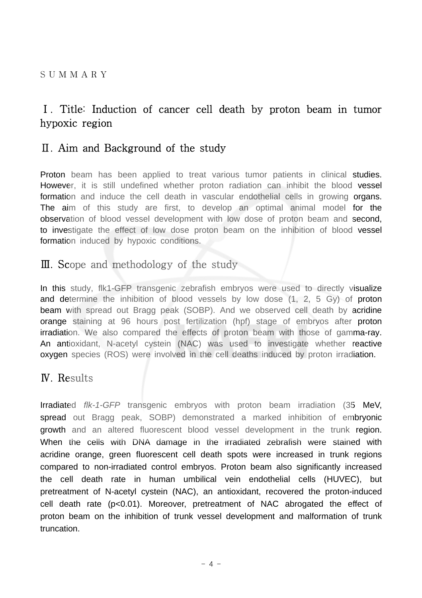## Ⅰ. Title: Induction of cancer cell death by proton beam in tumor hypoxic region

### Ⅱ. Aim and Background of the study

Proton beam has been applied to treat various tumor patients in clinical studies. However, it is still undefined whether proton radiation can inhibit the blood vessel formation and induce the cell death in vascular endothelial cells in growing organs. The aim of this study are first, to develop an optimal animal model for the observation of blood vessel development with low dose of proton beam and second, to investigate the effect of low dose proton beam on the inhibition of blood vessel formation induced by hypoxic conditions.

### Ⅲ. Scope and methodology of the study

In this study, flk1-GFP transgenic zebrafish embryos were used to directly visualize and determine the inhibition of blood vessels by low dose (1, 2, 5 Gy) of proton beam with spread out Bragg peak (SOBP). And we observed cell death by acridine orange staining at 96 hours post fertilization (hpf) stage of embryos after proton irradiation. We also compared the effects of proton beam with those of gamma-ray. An antioxidant, N-acetyl cystein (NAC) was used to investigate whether reactive oxygen species (ROS) were involved in the cell deaths induced by proton irradiation.

## Ⅳ. Results

Irradiated *flk-1-GFP* transgenic embryos with proton beam irradiation (35 MeV, spread out Bragg peak, SOBP) demonstrated a marked inhibition of embryonic growth and an altered fluorescent blood vessel development in the trunk region. When the cells with DNA damage in the irradiated zebrafish were stained with acridine orange, green fluorescent cell death spots were increased in trunk regions compared to non-irradiated control embryos. Proton beam also significantly increased the cell death rate in human umbilical vein endothelial cells (HUVEC), but pretreatment of N-acetyl cystein (NAC), an antioxidant, recovered the proton-induced cell death rate (p<0.01). Moreover, pretreatment of NAC abrogated the effect of proton beam on the inhibition of trunk vessel development and malformation of trunk truncation.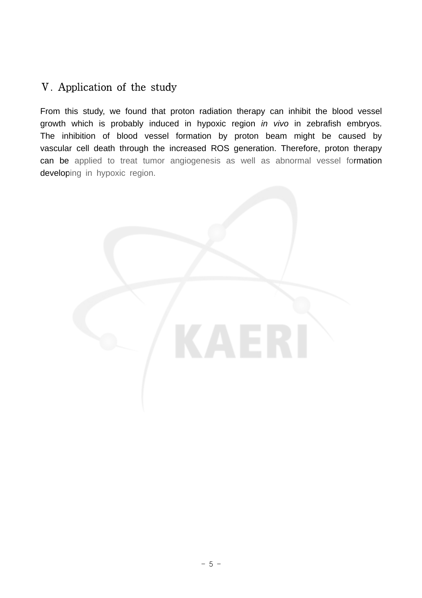# Ⅴ. Application of the study

From this study, we found that proton radiation therapy can inhibit the blood vessel growth which is probably induced in hypoxic region *in vivo* in zebrafish embryos. The inhibition of blood vessel formation by proton beam might be caused by vascular cell death through the increased ROS generation. Therefore, proton therapy can be applied to treat tumor angiogenesis as well as abnormal vessel formation developing in hypoxic region.

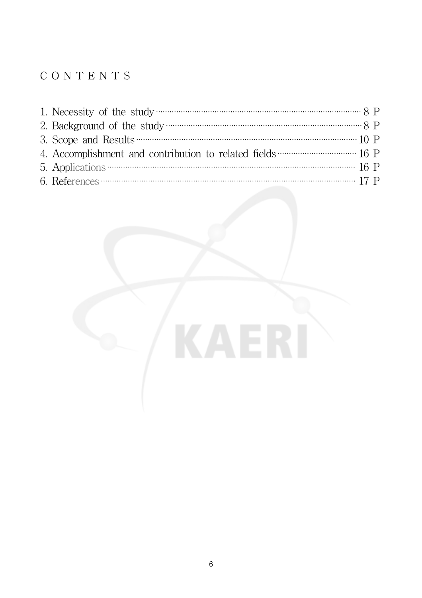# C O N T E N T S

| 1. Necessity of the study $\cdots$ and $\cdots$ and $\cdots$ and $\cdots$ and $\cdots$ $\cdots$ $\cdots$ $\cdots$ $\cdots$ $\cdots$ $\cdots$ $\cdots$ $\cdots$ $\cdots$ $\cdots$ $\cdots$ $\cdots$ $\cdots$ $\cdots$ $\cdots$ $\cdots$ $\cdots$ $\cdots$ $\cdots$ $\cdots$ $\cdots$ $\cdots$ $\cdots$ $\cdots$ $\cdots$ |  |
|-------------------------------------------------------------------------------------------------------------------------------------------------------------------------------------------------------------------------------------------------------------------------------------------------------------------------|--|
|                                                                                                                                                                                                                                                                                                                         |  |
|                                                                                                                                                                                                                                                                                                                         |  |
|                                                                                                                                                                                                                                                                                                                         |  |
|                                                                                                                                                                                                                                                                                                                         |  |
|                                                                                                                                                                                                                                                                                                                         |  |

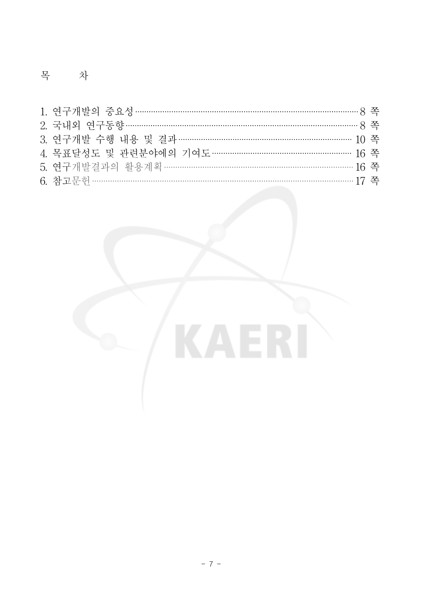# 목 차

| 1. 연구개발의 중요성 …………………………………………………………………………………… 8 쪽 |  |
|---------------------------------------------------|--|
| 2. 국내외 연구동향 ……………………………………………………………………………………… 8 쪽 |  |
| 3. 여구개발 수행 내용 및 결과 ………………………………………………………………… 10 쪽 |  |
| 4. 목표달성도 및 관련분야에의 기여도 …………………………………………………… 16 쪽   |  |
| 5. 여구개발결과의 활용계획 ……………………………………………………………………… 16 쪽  |  |
|                                                   |  |

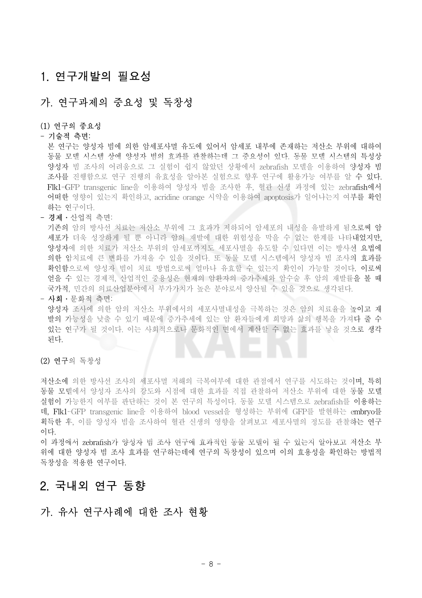# 1. 연구개발의 필요성

### 가. 연구과제의 중요성 및 독창성

#### (1) 연구의 중요성

#### - 기술적 측면:

본 연구는 양성자 빔에 의한 암세포사멸 유도에 있어서 암세포 내부에 존재하는 저산소 부위에 대하여 동물 모델 시스템 상에 양성자 빔의 효과를 관찰하는데 그 중요성이 있다. 동물 모델 시스템의 특성상 양성자 빔 조사의 어려움으로 그 실험이 쉽지 않았던 상황에서 zebrafish 모델을 이용하여 양성자 빔 조사를 진행함으로 연구 진행의 유효성을 알아본 실험으로 향후 연구에 활용가능 여부를 알 수 있다. Flk1-GFP transgenic line을 이용하여 양성자 빔을 조사한 후, 혈관 신생 과정에 있는 zebrafish에서 어떠한 영향이 있는지 확인하고, acridine orange 시약을 이용하여 apoptosis가 일어나는지 여부를 확인 하는 연구이다.

#### - 경제․산업적 측면:

기존의 암의 방사선 치료는 저산소 부위에 그 효과가 저하되어 암세포의 내성을 유발하게 됨으로써 암 세포가 더욱 성장하게 될 뿐 아니라 암의 재발에 대한 위험성을 막을 수 없는 한계를 나타내었지만, 양성자에 의한 치료가 저산소 부위의 암세포까지도 세포사멸을 유도할 수 있다면 이는 방사선 요법에 의한 암치료에 큰 변화를 가져올 수 있을 것이다. 또 동물 모델 시스템에서 양성자 빔 조사의 효과를 확인함으로써 양성자 빔이 치료 방법으로써 얼마나 유효할 수 있는지 확인이 가능할 것이다. 이로써 얻을 수 있는 경제적, 산업적인 중용성은 현재의 암환자의 증가추세와 암수술 후 암의 재발률을 볼 때 국가적, 민간의 의료산업분야에서 부가가치가 높은 분야로서 양산될 수 있을 것으로 생각된다.

- 사회․문화적 측면:

양성자 조사에 의한 암의 저산소 부위에서의 세포사멸내성을 극복하는 것은 암의 치료율을 높이고 재 발의 가능성을 낮출 수 있기 때문에 증가추세에 있는 암 환자들에게 희망과 삶의 행복을 가져다 줄 수 있는 연구가 될 것이다. 이는 사회적으로나 문화적인 면에서 계산할 수 없는 효과를 낳을 것으로 생각 된다.

#### (2) 연구의 독창성

저산소에 의한 방사선 조사의 세포사멸 저해의 극복여부에 대한 관점에서 연구를 시도하는 것이며, 특히 동물 모델에서 양성자 조사의 강도와 시점에 대한 효과를 직접 관찰하여 저산소 부위에 대한 동물 모델 실험이 가능한지 여부를 판단하는 것이 본 연구의 특성이다. 동물 모델 시스템으로 zebrafish를 이용하는 데, Flk1-GFP transgenic line을 이용하여 blood vessel을 형성하는 부위에 GFP를 발현하는 embryo를 획득한 후, 이를 양성자 빔을 조사하여 혈관 신생의 영향을 살펴보고 세포사멸의 정도를 관찰하는 연구 이다.

이 과정에서 zebrafish가 양성자 빔 조사 연구에 효과적인 동물 모델이 될 수 있는지 알아보고 저산소 부 위에 대한 양성자 빔 조사 효과를 연구하는데에 연구의 독창성이 있으며 이의 효용성을 확인하는 방법적 독창성을 적용한 연구이다.

## 2. 국내외 연구 동향

### 가. 유사 연구사례에 대한 조사 현황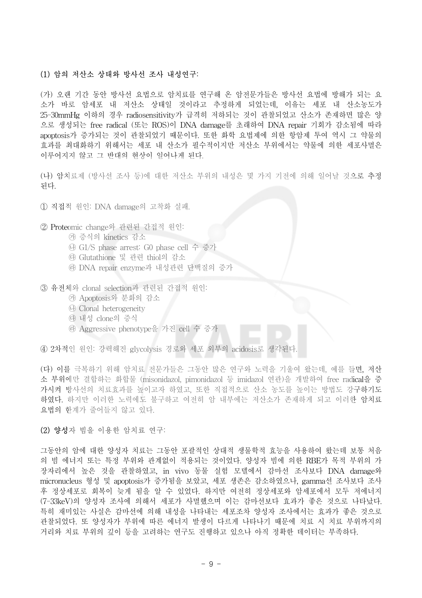#### (1) 암의 저산소 상태와 방사선 조사 내성연구:

(가) 오랜 기간 동안 방사선 요법으로 암치료를 연구해 온 암전문가들은 방사선 요법에 방해가 되는 요 소가 바로 암세포 내 저산소 상태일 것이라고 추정하게 되었는데, 이유는 세포 내 산소농도가 25-30mmHg 이하의 경우 radiosensitivity가 급격히 저하되는 것이 관찰되었고 산소가 존재하면 많은 양 으로 생성되는 free radical (또는 ROS)이 DNA damage를 초래하여 DNA repair 기회가 감소됨에 따라 apoptosis가 증가되는 것이 관찰되었기 때문이다. 또한 화학 요법제에 의한 항암제 투여 역시 그 약물의 효과를 최대화하기 위해서는 세포 내 산소가 필수적이지만 저산소 부위에서는 약물에 의한 세포사멸은 이루어지지 않고 그 반대의 현상이 일어나게 된다.

(나) 암치료제 (방사선 조사 등)에 대한 저산소 부위의 내성은 몇 가지 기전에 의해 일어날 것으로 추정 된다.

- ① 직접적 원인: DNA damage의 고착화 실패.
- ② Proteomic change와 관련된 간접적 원인:
	- ㉮ 증식의 kinetics 감소
	- ㉯ G1/S phase arrest: G0 phase cell 수 증가
	- ㉰ Glutathione 및 관련 thiol의 감소
	- ㉱ DNA repair enzyme과 내성관련 단백질의 증가
- ③ 유전체와 clonal selection과 관련된 간접적 원인:
	- ㉮ Apoptosis와 분화의 감소
	- ㉯ Clonal heterogeneity
	- ㉰ 내성 clone의 증식
	- ㉱ Aggressive phenotype을 가진 cell 수 증가

④ 2차적인 원인: 강력해진 glycolysis 경로와 세포 외부의 acidosis로 생각된다.

(다) 이를 극복하기 위해 암치료 전문가들은 그동안 많은 연구와 노력을 기울여 왔는데, 예를 들면, 저산 소 부위에만 결합하는 화합물 (misonidazol, pimonidazol 등 imidazol 연관)을 개발하여 free radical을 증 가시켜 방사선의 치료효과를 높이고자 하였고, 또한 직접적으로 산소 농도를 높이는 방법도 강구하기도 하였다. 하지만 이러한 노력에도 불구하고 여전히 암 내부에는 저산소가 존재하게 되고 이러한 암치료 요법의 한계가 줄어들지 않고 있다.

#### (2) 양성자 빔을 이용한 암치료 연구:

그동안의 암에 대한 양성자 치료는 그동안 포괄적인 상대적 생물학적 효능을 사용하여 왔는데 보통 처음 의 빔 에너지 또는 특정 부위와 관계없이 적용되는 것이었다. 양성자 빔에 의한 RBE가 목적 부위의 가 장자리에서 높은 것을 관찰하였고, in vivo 동물 실험 모델에서 감마선 조사보다 DNA damage와 micronucleus 형성 및 apoptosis가 증가됨을 보았고, 세포 생존은 감소하였으나, gamma선 조사보다 조사 후 정상세포로 회복이 늦게 됨을 알 수 있었다. 하지만 여전히 정상세포와 암세포에서 모두 저에너지 (7-33keV)의 양성자 조사에 의해서 세포가 사멸했으며 이는 감마선보다 효과가 좋은 것으로 나타났다. 특히 재미있는 사실은 감마선에 의해 내성을 나타내는 세포조차 양성자 조사에서는 효과가 좋은 것으로 관찰되었다. 또 양성자가 부위에 따른 에너지 발생이 다르게 나타나기 때문에 치료 시 치료 부위까지의 거리와 치료 부위의 깊이 등을 고려하는 연구도 진행하고 있으나 아직 정확한 데이터는 부족하다.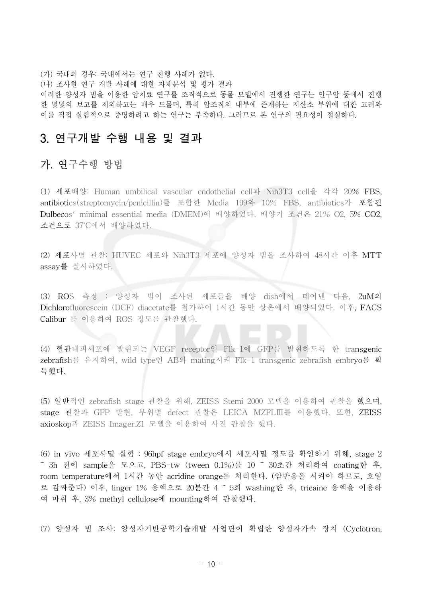(가) 국내의 경우: 국내에서는 연구 진행 사례가 없다. (나) 조사한 연구 개발 사례에 대한 자체분석 및 평가 결과

이러한 양성자 빔을 이용한 암치료 연구를 조직적으로 동물 모델에서 진행한 연구는 안구암 등에서 진행 한 몇몇의 보고를 제외하고는 매우 드물며, 특히 암조직의 내부에 존재하는 저산소 부위에 대한 고려와 이를 직접 실험적으로 증명하려고 하는 연구는 부족하다. 그러므로 본 연구의 필요성이 절실하다.

## 3. 연구개발 수행 내용 및 결과

## 가. 연구수행 방법

(1) 세포배양: Human umbilical vascular endothelial cell과 Nih3T3 cell을 각각 20% FBS, antibiotics(streptomycin/penicillin)를 포함한 Media 199와 10% FBS, antibiotics가 포함된 Dulbecos' minimal essential media (DMEM)에 배양하였다. 배양기 조건은 21% O2, 5% CO2, 조건으로 37˚C에서 배양하였다.

(2) 세포사멸 관찰: HUVEC 세포와 Nih3T3 세포에 양성자 빔을 조사하여 48시간 이후 MTT assay를 실시하였다.

(3) ROS 측정 : 양성자 빔이 조사된 세포들을 배양 dish에서 떼어낸 다음, 2uM의 Dichlorofluorescein (DCF) diacetate를 첨가하여 1시간 동안 상온에서 배양되었다. 이후, FACS Calibur 를 이용하여 ROS 정도를 관찰했다.

(4) 혈관내피세포에 발현되는 VEGF receptor인 Flk-1에 GFP를 발현하도록 한 transgenic zebrafish를 유지하여, wild type인 AB와 mating시켜 Flk-1 transgenic zebrafish embryo를 획 득했다.

(5) 일반적인 zebrafish stage 관찰을 위해, ZEISS Stemi 2000 모델을 이용하여 관찰을 했으며, stage 관찰과 GFP 발현, 부위별 defect 관찰은 LEICA MZFLⅢ를 이용했다. 또한, ZEISS axioskop과 ZEISS Imager.Z1 모델을 이용하여 사진 관찰을 했다.

(6) in vivo 세포사멸 실험 : 96hpf stage embryo에서 세포사멸 정도를 확인하기 위해, stage 2 ~ 3h 전에 sample을 모으고, PBS-tw (tween 0.1%)를 10 ~ 30초간 처리하여 coating한 후, room temperature에서 1시간 동안 acridine orange를 처리한다. (암반응을 시켜야 하므로, 호일 로 감싸준다) 이후, linger 1% 용액으로 20분간 4 ~ 5회 washing한 후, tricaine 용액을 이용하 여 마취 후, 3% methyl cellulose에 mounting하여 관찰했다.

(7) 양성자 빔 조사: 양성자기반공학기술개발 사업단이 확립한 양성자가속 장치 (Cyclotron,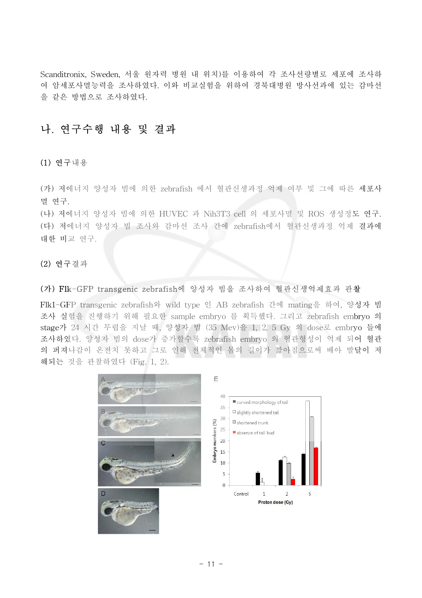Scanditronix, Sweden, 서울 원자력 병원 내 위치)를 이용하여 각 조사선량별로 세포에 조사하 여 암세포사멸능력을 조사하였다. 이와 비교실험을 위하여 경북대병원 방사선과에 있는 감마선 을 같은 방법으로 조사하였다.

### 나. 연구수행 내용 및 결과

#### (1) 연구내용

(가) 저에너지 양성자 빔에 의한 zebrafish 에서 혈관신생과정 억제 여부 및 그에 따른 세포사 멸 연구.

(나) 저에너지 양성자 빔에 의한 HUVEC 과 Nih3T3 cell 의 세포사멸 및 ROS 생성정도 연구. (다) 저에너지 양성자 빔 조사와 감마선 조사 간에 zebrafish에서 혈관신생과정 억제 결과에 대한 비교 연구.

#### (2) 연구결과

#### (가) Flk-GFP transgenic zebrafish에 양성자 빔을 조사하여 혈관신생억제효과 관찰

Flk1-GFP transgenic zebrafish와 wild type 인 AB zebrafish 간에 mating을 하여, 양성자 빔 조사 실험을 진행하기 위해 필요한 sample embryo 를 획득했다. 그리고 zebrafish embryo 의 stage가 24 시간 무렵을 지날 때, 양성자 빔 (35 Mev)을 1, 2, 5 Gy 의 dose로 embryo 들에 조사하였다. 양성자 빔의 dose가 증가할수록 zebrafish embryo 의 혈관형성이 억제 되어 혈관 의 퍼져나감이 온전치 못하고 그로 인해 전체적인 몸의 길이가 짧아짐으로써 배아 발달이 저 해되는 것을 관찰하였다 (Fig. 1, 2).

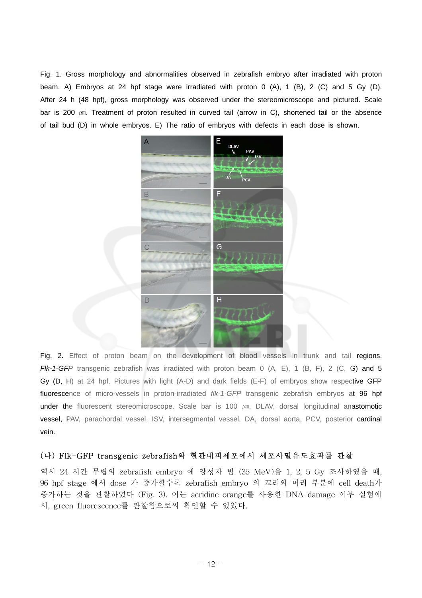Fig. 1. Gross morphology and abnormalities observed in zebrafish embryo after irradiated with proton beam. A) Embryos at 24 hpf stage were irradiated with proton 0 (A), 1 (B), 2 (C) and 5 Gy (D). After 24 h (48 hpf), gross morphology was observed under the stereomicroscope and pictured. Scale bar is 200  $\mu$ m. Treatment of proton resulted in curved tail (arrow in C), shortened tail or the absence of tail bud (D) in whole embryos. E) The ratio of embryos with defects in each dose is shown.



Fig. 2. Effect of proton beam on the development of blood vessels in trunk and tail regions. *Flk-1-GFP* transgenic zebrafish was irradiated with proton beam 0 (A, E), 1 (B, F), 2 (C, G) and 5 Gy (D, H) at 24 hpf. Pictures with light (A-D) and dark fields (E-F) of embryos show respective GFP fluorescence of micro-vessels in proton-irradiated *flk-1-GFP* transgenic zebrafish embryos at 96 hpf under the fluorescent stereomicroscope. Scale bar is 100  $\mu$ m. DLAV, dorsal longitudinal anastomotic vessel, PAV, parachordal vessel, ISV, intersegmental vessel, DA, dorsal aorta, PCV, posterior cardinal vein.

#### (나) Flk-GFP transgenic zebrafish와 혈관내피세포에서 세포사멸유도효과를 관찰

역시 24 시간 무렵의 zebrafish embryo 에 양성자 빔 (35 MeV)을 1, 2, 5 Gy 조사하였을 때, 96 hpf stage 에서 dose 가 증가할수록 zebrafish embryo 의 꼬리와 머리 부분에 cell death가 증가하는 것을 관찰하였다 (Fig. 3). 이는 acridine orange를 사용한 DNA damage 여부 실험에 서, green fluorescence를 관찰함으로써 확인할 수 있었다.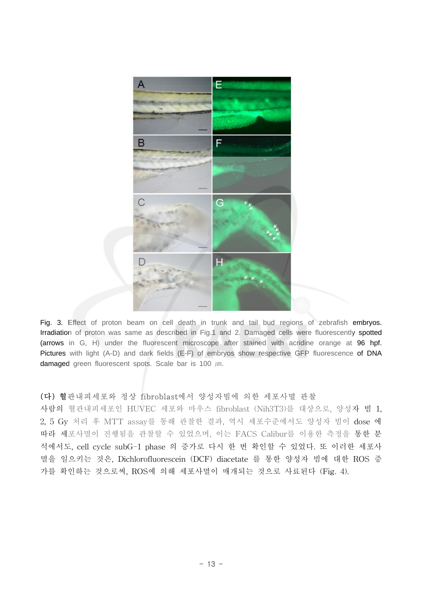

Fig. 3. Effect of proton beam on cell death in trunk and tail bud regions of zebrafish embryos. Irradiation of proton was same as described in Fig.1 and 2. Damaged cells were fluorescently spotted (arrows in G, H) under the fluorescent microscope after stained with acridine orange at 96 hpf. Pictures with light (A-D) and dark fields (E-F) of embryos show respective GFP fluorescence of DNA damaged green fluorescent spots. Scale bar is 100  $\mu$ m.

#### (다) 혈관내피세포와 정상 fibroblast에서 양성자빔에 의한 세포사멸 관찰

사람의 혈관내피세포인 HUVEC 세포와 마우스 fibroblast (Nih3T3)를 대상으로, 양성자 빔 1, 2, 5 Gy 처리 후 MTT assay를 통해 관찰한 결과, 역시 세포수준에서도 양성자 빔이 dose 에 따라 세포사멸이 진행됨을 관찰할 수 있었으며, 이는 FACS Calibur를 이용한 측정을 통한 분 석에서도, cell cycle subG-1 phase 의 증가로 다시 한 번 확인할 수 있었다. 또 이러한 세포사 멸을 일으키는 것은, Dichlorofluorescein (DCF) diacetate 를 통한 양성자 빔에 대한 ROS 증 가를 확인하는 것으로써, ROS에 의해 세포사멸이 매개되는 것으로 사료된다 (Fig. 4).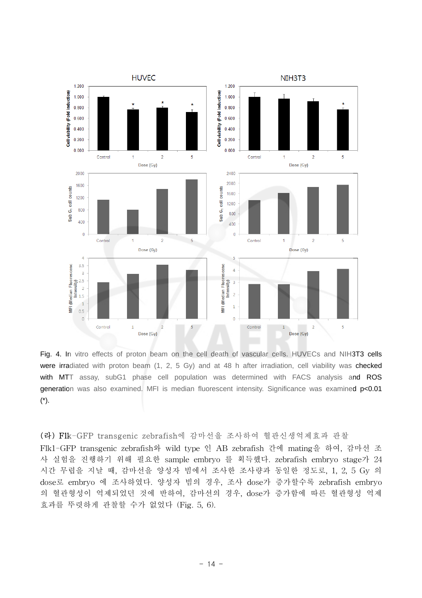

Fig. 4. In vitro effects of proton beam on the cell death of vascular cells. HUVECs and NIH3T3 cells were irradiated with proton beam (1, 2, 5 Gy) and at 48 h after irradiation, cell viability was checked with MTT assay, subG1 phase cell population was determined with FACS analysis and ROS generation was also examined. MFI is median fluorescent intensity. Significance was examined p<0.01 (\*).

#### (라) Flk-GFP transgenic zebrafish에 감마선을 조사하여 혈관신생억제효과 관찰

Flk1-GFP transgenic zebrafish와 wild type 인 AB zebrafish 간에 mating을 하여, 감마선 조 사 실험을 진행하기 위해 필요한 sample embryo 를 획득했다. zebrafish embryo stage가 24 시간 무렵을 지날 때, 감마선을 양성자 빔에서 조사한 조사량과 동일한 정도로, 1, 2, 5 Gy 의 dose로 embryo 에 조사하였다. 양성자 빔의 경우, 조사 dose가 증가할수록 zebrafish embryo 의 혈관형성이 억제되었던 것에 반하여, 감마선의 경우, dose가 증가함에 따른 혈관형성 억제 효과를 뚜렷하게 관찰할 수가 없었다 (Fig. 5, 6).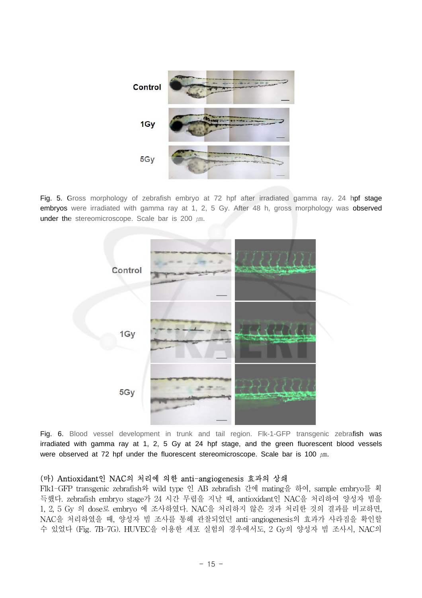

Fig. 5. Gross morphology of zebrafish embryo at 72 hpf after irradiated gamma ray. 24 hpf stage embryos were irradiated with gamma ray at 1, 2, 5 Gy. After 48 h, gross morphology was observed under the stereomicroscope. Scale bar is 200  $\mu$ m.



Fig. 6. Blood vessel development in trunk and tail region. Flk-1-GFP transgenic zebrafish was irradiated with gamma ray at 1, 2, 5 Gy at 24 hpf stage, and the green fluorescent blood vessels were observed at 72 hpf under the fluorescent stereomicroscope. Scale bar is 100  $\mu$ m.

#### (마) Antioxidant인 NAC의 처리에 의한 anti-angiogenesis 효과의 상쇄

Flk1-GFP transgenic zebrafish와 wild type 인 AB zebrafish 간에 mating을 하여, sample embryo를 획 득했다. zebrafish embryo stage가 24 시간 무렵을 지날 때, antioxidant인 NAC을 처리하여 양성자 빔을 1, 2, 5 Gy 의 dose로 embryo 에 조사하였다. NAC을 처리하지 않은 것과 처리한 것의 결과를 비교하면, NAC을 처리하였을 때, 양성자 빔 조사를 통해 관찰되었던 anti-angiogenesis의 효과가 사라짐을 확인할 수 있었다 (Fig. 7B-7G). HUVEC을 이용한 세포 실험의 경우에서도, 2 Gy의 양성자 빔 조사시, NAC의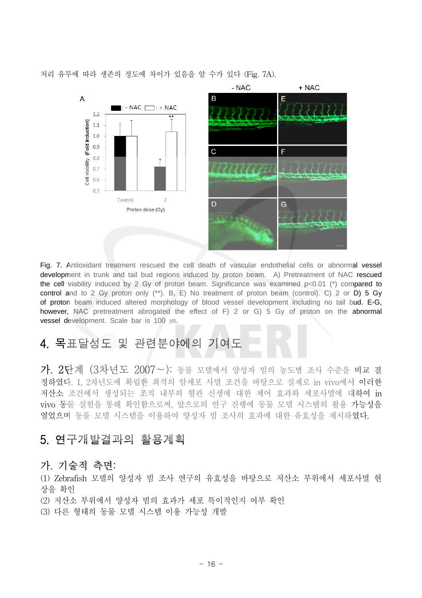처리 유무에 따라 생존의 정도에 차이가 있음을 알 수가 있다 (Fig. 7A).



Fig. 7. Antioxidant treatment rescued the cell death of vascular endothelial cells or abnormal vessel development in trunk and tail bud regions induced by proton beam. A) Pretreatment of NAC rescued the cell viability induced by 2 Gy of proton beam. Significance was examined  $p<0.01$  (\*) compared to control and to 2 Gy proton only  $(**)$ . B, E) No treatment of proton beam (control). C) 2 or D) 5 Gy of proton beam induced altered morphology of blood vessel development including no tail bud. E-G, however, NAC pretreatment abrogated the effect of F) 2 or G) 5 Gy of proton on the abnormal vessel development. Scale bar is 100 µm.

# 4. 목표달성도 및 관련분야에의 기여도

가. 2단계 (3차년도 2007~): 동물 모델에서 양성자 빔의 농도별 조사 수준을 비교 결 정하였다. 1, 2차년도에 확립한 최적의 암세포 사멸 조건을 바탕으로 실제로 in vivo에서 이러한 저산소 조건에서 생성되는 조직 내부의 혈관 신생에 대한 제어 효과와 세포사멸에 대하여 in vivo 동물 실험을 통해 확인함으로써, 앞으로의 연구 진행에 동물 모델 시스템의 활용 가능성을 열었으며 동물 모델 시스템을 이용하여 양성자 빔 조사의 효과에 대한 유효성을 제시하였다.

## 5. 연구개발결과의 활용계획

## 가. 기술적 측면:

(1) Zebrafish 모델의 양성자 빔 조사 연구의 유효성을 바탕으로 저산소 부위에서 세포사멸 현 상을 확인

(2) 저산소 부위에서 양성자 빔의 효과가 세포 특이적인지 여부 확인

(3) 다른 형태의 동물 모델 시스템 이용 가능성 개발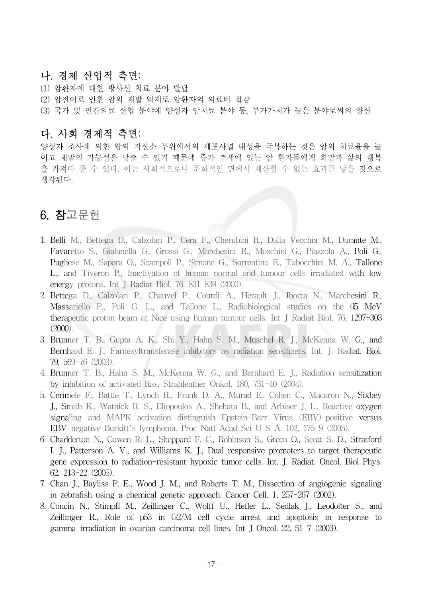### 나. 경제 산업적 측면:

(1) 암환자에 대한 방사선 치료 분야 발달 (2) 암전이로 인한 암의 재발 억제로 암환자의 의료비 절감 (3) 국가 및 민간의료 산업 분야에 양성자 암치료 분야 등, 부가가치가 높은 분야로써의 양산

### 다. 사회 경제적 측면:

양성자 조사에 의한 암의 저산소 부위에서의 세포사멸 내성을 극복하는 것은 암의 치료율을 높 이고 재발의 가능성을 낮출 수 있기 때문에 증가 추세에 있는 암 환자들에게 희망과 삶의 행복 을 가져다 줄 수 있다. 이는 사회적으로나 문화적인 면에서 계산할 수 없는 효과를 낳을 것으로 생각된다.

# 6. 참고문헌

- 1. Belli M., Bettega D., Calzolari P., Cera F., Cherubini R., Dalla Vecchia M., Durante M., Favaretto S., Gialanella G., Grossi G., Marchesini R., Moschini G., Piazzola A., Poli G., Pugliese M., Sapora O., Scampoli P., Simone G., Sorrentino E., Tabocchini M. A., Tallone L., and Tiveron P., Inactivation of human normal and tumour cells irradiated with low energy protons. Int J Radiat Biol. 76, 831-839 (2000).
- 2. Bettega D., Calzolari P., Chauvel P., Courdi A., Herault J., Iborra N., Marchesini R., Massariello P., Poli G. L., and Tallone L., Radiobiological studies on the 65 MeV therapeutic proton beam at Nice using human tumour cells. Int J Radiat Biol. 76, 1297-303 (2000).
- 3. Brunner T. B., Gupta A. K., Shi Y., Hahn S. M., Muschel R. J., McKenna W. G., and Bernhard E. J., Farnesyltransferase inhibitors as radiation sensitizers. Int. J. Radiat. Biol. 79, 569-76 (2003).
- 4. Brunner T. B., Hahn S. M., McKenna W. G., and Bernhard E. J., Radiation sensitization by inhibition of activated Ras. Strahlenther Onkol. 180, 731-40 (2004).
- 5. Cerimele F., Battle T., Lynch R., Frank D. A., Murad E., Cohen C., Macaron N., Sixbey J., Smith K., Watnick R. S., Eliopoulos A., Shehata B., and Arbiser J. L., Reactive oxygen signaling and MAPK activation distinguish Epstein-Barr Virus (EBV)-positive versus EBV-negative Burkitt's lymphoma. Proc Natl Acad Sci U S A. 102, 175-9 (2005).
- 6. Chadderton N., Cowen R. L., Sheppard F. C., Robinson S., Greco O., Scott S. D., Stratford I. J., Patterson A. V., and Williams K. J., Dual responsive promoters to target therapeutic gene expression to radiation-resistant hypoxic tumor cells. Int. J. Radiat. Oncol. Biol Phys. 62, 213-22 (2005).
- 7. Chan J., Bayliss P. E., Wood J. M., and Roberts T. M., Dissection of angiogenic signaling in zebrafish using a chemical genetic approach. Cancer Cell. 1, 257-267 (2002).
- 8. Concin N., Stimpfl M., Zeillinger C., Wolff U., Hefler L., Sedlak J., Leodolter S., and Zeillinger R., Role of p53 in G2/M cell cycle arrest and apoptosis in response to gamma-irradiation in ovarian carcinoma cell lines. Int J Oncol. 22, 51-7 (2003).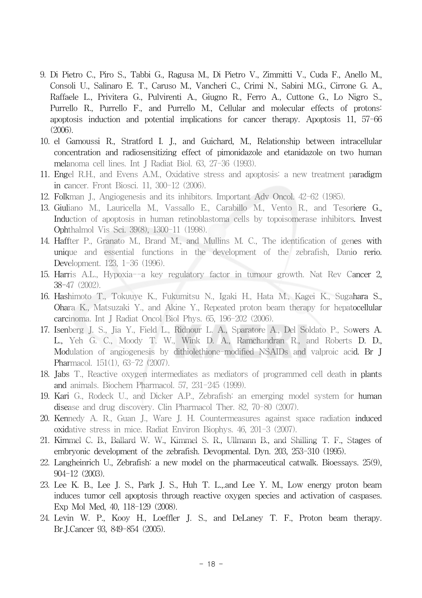- 9. Di Pietro C., Piro S., Tabbi G., Ragusa M., Di Pietro V., Zimmitti V., Cuda F., Anello M., Consoli U., Salinaro E. T., Caruso M., Vancheri C., Crimi N., Sabini M.G., Cirrone G. A., Raffaele L., Privitera G., Pulvirenti A., Giugno R., Ferro A., Cuttone G., Lo Nigro S., Purrello R., Purrello F., and Purrello M., Cellular and molecular effects of protons: apoptosis induction and potential implications for cancer therapy. Apoptosis 11, 57-66 (2006).
- 10. el Gamoussi R., Stratford I. J., and Guichard, M., Relationship between intracellular concentration and radiosensitizing effect of pimonidazole and etanidazole on two human melanoma cell lines. Int J Radiat Biol. 63, 27-36 (1993).
- 11. Engel R.H., and Evens A.M., Oxidative stress and apoptosis: a new treatment paradigm in cancer. Front Biosci. 11, 300-12 (2006).
- 12. Folkman J., Angiogenesis and its inhibitors. Important Adv Oncol. 42-62 (1985).
- 13. Giuliano M., Lauricella M., Vassallo E., Carabillo M., Vento R., and Tesoriere G., Induction of apoptosis in human retinoblastoma cells by topoisomerase inhibitors. Invest Ophthalmol Vis Sci. 39(8), 1300-11 (1998).
- 14. Haffter P., Granato M., Brand M., and Mullins M. C., The identification of genes with unique and essential functions in the development of the zebrafish, Danio rerio. Development. 123, 1-36 (1996).
- 15. Harris A.L., Hypoxia--a key regulatory factor in tumour growth. Nat Rev Cancer 2, 38-47 (2002).
- 16. Hashimoto T., Tokuuye K., Fukumitsu N., Igaki H., Hata M., Kagei K., Sugahara S., Ohara K., Matsuzaki Y., and Akine Y., Repeated proton beam therapy for hepatocellular carcinoma. Int J Radiat Oncol Biol Phys. 65, 196-202 (2006).
- 17. Isenberg J. S., Jia Y., Field L., Ridnour L. A., Sparatore A., Del Soldato P., Sowers A. L., Yeh G. C., Moody T. W., Wink D. A., Ramchandran R., and Roberts D. D., Modulation of angiogenesis by dithiolethione-modified NSAIDs and valproic acid. Br J Pharmacol. 151(1), 63-72 (2007).
- 18. Jabs T., Reactive oxygen intermediates as mediators of programmed cell death in plants and animals. Biochem Pharmacol. 57, 231-245 (1999).
- 19. Kari G., Rodeck U., and Dicker A.P., Zebrafish: an emerging model system for human disease and drug discovery. Clin Pharmacol Ther. 82, 70-80 (2007).
- 20. Kennedy A. R., Guan J., Ware J. H. Countermeasures against space radiation induced oxidative stress in mice. Radiat Environ Biophys. 46, 201-3 (2007).
- 21. Kimmel C. B., Ballard W. W., Kimmel S. R., Ullmann B., and Shilling T. F., Stages of embryonic development of the zebrafish. Devopmental. Dyn. 203, 253-310 (1995).
- 22. Langheinrich U., Zebrafish: a new model on the pharmaceutical catwalk. Bioessays. 25(9), 904-12 (2003).
- 23. Lee K. B., Lee J. S., Park J. S., Huh T. L.,.and Lee Y. M., Low energy proton beam induces tumor cell apoptosis through reactive oxygen species and activation of caspases. Exp Mol Med, 40, 118-129 (2008).
- 24. Levin W. P., Kooy H., Loeffler J. S., and DeLaney T. F., Proton beam therapy. Br.J.Cancer 93, 849-854 (2005).